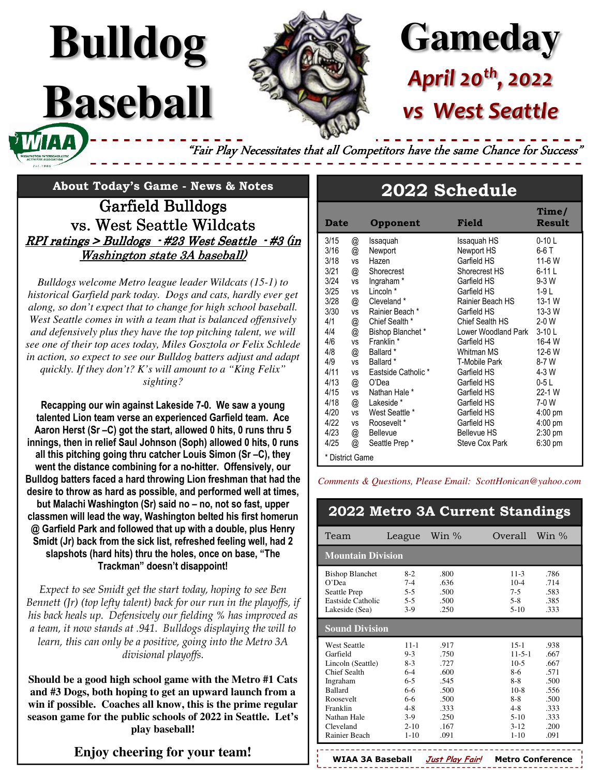# **Gameday** *April 20th, 2022 West Seattle*

"Fair Play Necessitates that all Competitors have the same Chance for Success'

## **About Today's Game - News & Notes**

**Bulldog**

**Baseball** 

Garfield Bulldogs Garfield vs. West Seattle Wildcats  $RPI$  ratings > Bulldogs  $-$  #23 West Seattle  $-$  #3 (in Washington state 3A baseball)

*Bulldogs welcome Metro league leader Wildcats (15-1) to historical Garfield park today. Dogs and cats, hardly ever get along, so don't expect that to change for high school baseball. West Seattle comes in with a team that is balanced offensively and defensively plus they have the top pitching talent, we will see one of their top aces today, Miles Gosztola or Felix Schlede in action, so expect to see our Bulldog batters adjust and adapt quickly. If they don't? K's will amount to a "King Felix" sighting?* 

**Recapping our win against Lakeside 7-0. We saw a young talented Lion team verse an experienced Garfield team. Ace Aaron Herst (Sr –C) got the start, allowed 0 hits, 0 runs thru 5 innings, then in relief Saul Johnson (Soph) allowed 0 hits, 0 runs all this pitching going thru catcher Louis Simon (Sr –C), they went the distance combining for a no-hitter. Offensively, our Bulldog batters faced a hard throwing Lion freshman that had the desire to throw as hard as possible, and performed well at times, but Malachi Washington (Sr) said no – no, not so fast, upper classmen will lead the way, Washington belted his first homerun @ Garfield Park and followed that up with a double, plus Henry Smidt (Jr) back from the sick list, refreshed feeling well, had 2 slapshots (hard hits) thru the holes, once on base, "The Trackman" doesn't disappoint!** 

*Expect to see Smidt get the start today, hoping to see Ben Bennett (Jr) (top lefty talent) back for our run in the playoffs, if his back heals up. Defensively our fielding % has improved as a team, it now stands at .941. Bulldogs displaying the will to learn, this can only be a positive, going into the Metro 3A divisional playoffs.* 

**Should be a good high school game with the Metro #1 Cats and #3 Dogs, both hoping to get an upward launch from a win if possible. Coaches all know, this is the prime regular season game for the public schools of 2022 in Seattle. Let's play baseball!** 

### **Enjoy cheering for your team!**

### **2022 Schedule**

| <b>Date</b>     |           | Opponent              | Field               | Time/<br><b>Result</b> |
|-----------------|-----------|-----------------------|---------------------|------------------------|
| 3/15            | @         | Issaquah              | Issaguah HS         | $0-10L$                |
| 3/16            | @         | Newport               | Newport HS          | 6-6 T                  |
| 3/18            | VS        | Hazen                 | Garfield HS         | 11-6 W                 |
| 3/21            | @         | Shorecrest            | Shorecrest HS       | $6-11L$                |
| 3/24            | <b>VS</b> | Ingraham <sup>*</sup> | Garfield HS         | 9-3 W                  |
| 3/25            | <b>VS</b> | Lincoln *             | Garfield HS         | $1-9L$                 |
| 3/28            | @         | Cleveland *           | Rainier Beach HS    | 13-1 W                 |
| 3/30            | <b>VS</b> | Rainier Beach *       | Garfield HS         | 13-3 W                 |
| 4/1             | @         | Chief Sealth *        | Chief Sealth HS     | 2-0 W                  |
| 4/4             | @         | Bishop Blanchet*      | Lower Woodland Park | $3-10L$                |
| 4/6             | <b>VS</b> | Franklin *            | Garfield HS         | 16-4 W                 |
| 4/8             | @         | Ballard <sup>*</sup>  | Whitman MS          | 12-6 W                 |
| 4/9             | <b>VS</b> | Ballard *             | T-Mobile Park       | 8-7 W                  |
| 4/11            | <b>VS</b> | Eastside Catholic *   | Garfield HS         | 4-3 W                  |
| 4/13            | @         | O'Dea                 | Garfield HS         | $0-5L$                 |
| 4/15            | <b>VS</b> | Nathan Hale *         | Garfield HS         | 22-1 W                 |
| 4/18            | @         | Lakeside *            | Garfield HS         | 7-0 W                  |
| 4/20            | <b>VS</b> | West Seattle *        | Garfield HS         | $4:00$ pm              |
| 4/22            | <b>VS</b> | Roosevelt*            | Garfield HS         | $4:00 \text{ pm}$      |
| 4/23            | @         | Bellevue              | <b>Bellevue HS</b>  | $2:30$ pm              |
| 4/25            | @         | Seattle Prep*         | Steve Cox Park      | $6:30$ pm              |
| * District Game |           |                       |                     |                        |

*Comments & Questions, Please Email: ScottHonican@yahoo.com*

|                                                                                                                                                                          |                                                                                                                    |                                                                                      | 2022 Metro 3A Current Standings                                                                                                                                                                              |  |  |  |
|--------------------------------------------------------------------------------------------------------------------------------------------------------------------------|--------------------------------------------------------------------------------------------------------------------|--------------------------------------------------------------------------------------|--------------------------------------------------------------------------------------------------------------------------------------------------------------------------------------------------------------|--|--|--|
| Team                                                                                                                                                                     | League                                                                                                             | Win %                                                                                | Overall<br>Win $\%$                                                                                                                                                                                          |  |  |  |
|                                                                                                                                                                          | <b>Mountain Division</b>                                                                                           |                                                                                      |                                                                                                                                                                                                              |  |  |  |
| <b>Bishop Blanchet</b><br>$O'$ Dea<br>Seattle Prep<br><b>Eastside Catholic</b><br>Lakeside (Sea)                                                                         | $8-2$<br>$7 - 4$<br>$5 - 5$<br>$5 - 5$<br>$3-9$                                                                    | .800<br>.636<br>.500<br>.500<br>.250                                                 | $11-3$<br>.786<br>$10 - 4$<br>.714<br>$7 - 5$<br>.583<br>$5 - 8$<br>.385<br>$5-10$<br>.333                                                                                                                   |  |  |  |
| <b>Sound Division</b>                                                                                                                                                    |                                                                                                                    |                                                                                      |                                                                                                                                                                                                              |  |  |  |
| <b>West Seattle</b><br>Garfield<br>Lincoln (Seattle)<br>Chief Sealth<br>Ingraham<br><b>Ballard</b><br>Roosevelt<br>Franklin<br>Nathan Hale<br>Cleveland<br>Rainier Beach | $11 - 1$<br>$9 - 3$<br>$8-3$<br>$6 - 4$<br>$6 - 5$<br>$6-6$<br>$6 - 6$<br>$4 - 8$<br>$3-9$<br>$2 - 10$<br>$1 - 10$ | .917<br>.750<br>.727<br>.600<br>.545<br>.500<br>.500<br>.333<br>.250<br>.167<br>.091 | $15-1$<br>.938<br>$11 - 5 - 1$<br>.667<br>$10-5$<br>.667<br>8-6<br>.571<br>$8 - 8$<br>.500<br>$10-8$<br>.556<br>$8 - 8$<br>.500<br>$4 - 8$<br>.333<br>$5-10$<br>.333<br>$3 - 12$<br>.200<br>$1 - 10$<br>.091 |  |  |  |

**WIAA 3A Baseball Just Play Fair! Metro Conference**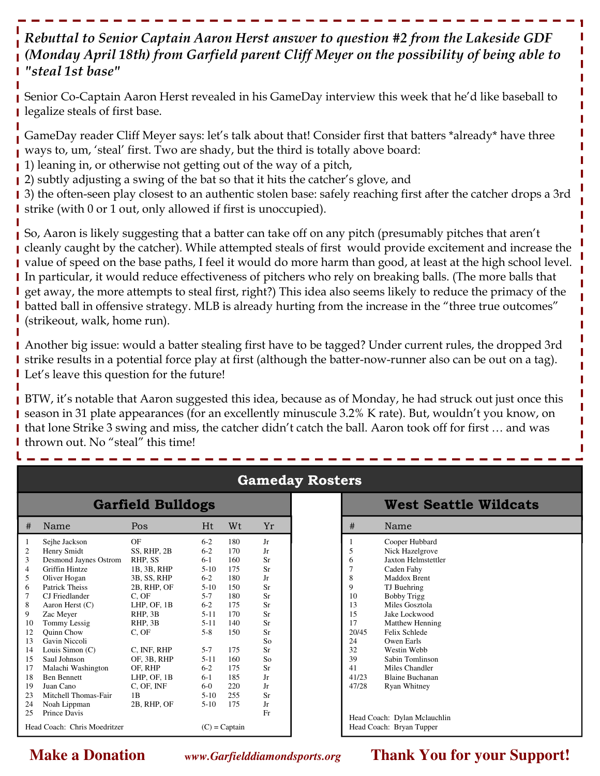### *Rebuttal to Senior Captain Aaron Herst answer to question #2 from the Lakeside GDF (Monday April 18th) from Garfield parent Cliff Meyer on the possibility of being able to "steal 1st base"*

Senior Co-Captain Aaron Herst revealed in his GameDay interview this week that he'd like baseball to legalize steals of first base.

GameDay reader Cliff Meyer says: let's talk about that! Consider first that batters \*already\* have three ways to, um, 'steal' first. Two are shady, but the third is totally above board:

1) leaning in, or otherwise not getting out of the way of a pitch,

12) subtly adjusting a swing of the bat so that it hits the catcher's glove, and

3) the often-seen play closest to an authentic stolen base: safely reaching first after the catcher drops a 3rd strike (with 0 or 1 out, only allowed if first is unoccupied).

So, Aaron is likely suggesting that a batter can take off on any pitch (presumably pitches that aren't I cleanly caught by the catcher). While attempted steals of first would provide excitement and increase the value of speed on the base paths, I feel it would do more harm than good, at least at the high school level. In particular, it would reduce effectiveness of pitchers who rely on breaking balls. (The more balls that get away, the more attempts to steal first, right?) This idea also seems likely to reduce the primacy of the **I** batted ball in offensive strategy. MLB is already hurting from the increase in the "three true outcomes" (strikeout, walk, home run).

Another big issue: would a batter stealing first have to be tagged? Under current rules, the dropped 3rd I strike results in a potential force play at first (although the batter-now-runner also can be out on a tag). **I** Let's leave this question for the future!

**BTW, it's notable that Aaron suggested this idea, because as of Monday, he had struck out just once this** season in 31 plate appearances (for an excellently minuscule 3.2% K rate). But, wouldn't you know, on that lone Strike 3 swing and miss, the catcher didn't catch the ball. Aaron took off for first … and was I thrown out. No "steal" this time!

| <b>Garfield Bulldogs</b> |                                                 |             |          |     |    |  |
|--------------------------|-------------------------------------------------|-------------|----------|-----|----|--|
| #                        | Name                                            | Pos         | Ht       | Wt  | Yr |  |
| 1                        | Sejhe Jackson                                   | ΟF          | $6-2$    | 180 | Jr |  |
| $\mathfrak{2}$           | Henry Smidt                                     | SS, RHP, 2B | $6 - 2$  | 170 | Jr |  |
| 3                        | Desmond Jaynes Ostrom                           | RHP. SS     | $6-1$    | 160 | Sr |  |
| $\overline{4}$           | Griffin Hintze                                  | 1B, 3B, RHP | $5-10$   | 175 | Sr |  |
| 5                        | Oliver Hogan                                    | 3B, SS, RHP | $6 - 2$  | 180 | Jr |  |
| 6                        | Patrick Theiss                                  | 2B, RHP, OF | $5-10$   | 150 | Sr |  |
| 7                        | CJ Friedlander                                  | C. OF       | $5 - 7$  | 180 | Sr |  |
| 8                        | Aaron Herst $(C)$                               | LHP, OF, 1B | $6 - 2$  | 175 | Sr |  |
| 9                        | Zac Meyer                                       | RHP. 3B     | $5-11$   | 170 | Sr |  |
| 10                       | Tommy Lessig                                    | RHP, 3B     | $5 - 11$ | 140 | Sr |  |
| 12                       | <b>Ouinn Chow</b>                               | C. OF       | $5-8$    | 150 | Sr |  |
| 13                       | Gavin Niccoli                                   |             |          |     | So |  |
| 14                       | Louis Simon $(C)$                               | C, INF, RHP | $5 - 7$  | 175 | Sr |  |
| 15                       | Saul Johnson                                    | OF, 3B, RHP | $5 - 11$ | 160 | So |  |
| 17                       | Malachi Washington                              | OF, RHP     | $6-2$    | 175 | Sr |  |
| 18                       | <b>Ben Bennett</b>                              | LHP, OF, 1B | $6-1$    | 185 | Jr |  |
| 19                       | Juan Cano                                       | C, OF, INF  | $6-0$    | 220 | Jr |  |
| 23                       | Mitchell Thomas-Fair                            | 1B          | $5-10$   | 255 | Sr |  |
| 24                       | Noah Lippman                                    | 2B, RHP, OF | $5-10$   | 175 | Jr |  |
| 25                       | Prince Davis                                    |             |          |     | Fr |  |
|                          | Head Coach: Chris Moedritzer<br>$(C)$ = Captain |             |          |     |    |  |

### **Gameday Rosters**

|                                                                               | <b>West Seattle Wildcats</b>                                                                                                                                                                                                                              |
|-------------------------------------------------------------------------------|-----------------------------------------------------------------------------------------------------------------------------------------------------------------------------------------------------------------------------------------------------------|
| #                                                                             | Name                                                                                                                                                                                                                                                      |
| 1<br>5<br>6<br>7<br>8<br>9<br>10<br>13<br>15<br>17<br>20/45<br>24<br>32<br>39 | Cooper Hubbard<br>Nick Hazelgrove<br><b>Jaxton Helmstettler</b><br>Caden Fahy<br>Maddox Brent<br>TJ Buehring<br><b>Bobby Trigg</b><br>Miles Gosztola<br>Jake Lockwood<br>Matthew Henning<br>Felix Schlede<br>Owen Earls<br>Westin Webb<br>Sabin Tomlinson |
| 41<br>41/23<br>47/28                                                          | Miles Chandler<br><b>Blaine Buchanan</b><br><b>Ryan Whitney</b><br>Head Coach: Dylan Mclauchlin<br>Head Coach: Bryan Tupper                                                                                                                               |

**Make a Donation w***ww.Garfielddiamondsports.org* **Thank You for your Support!**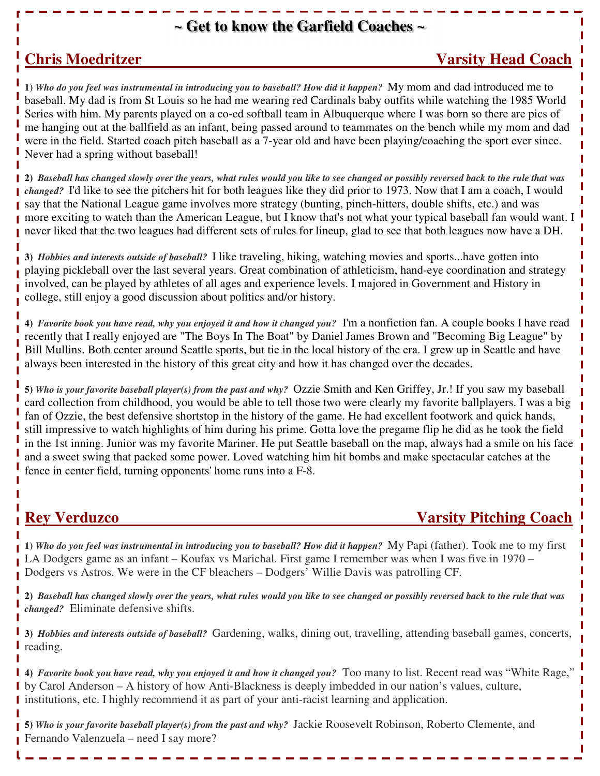### **~ Get to know the Garfield Coaches ~**

### **Chris Moedritzer Coach 2018 1999 12:33 Varsity Head Coach 2018**

**1)** *Who do you feel was instrumental in introducing you to baseball? How did it happen?*My mom and dad introduced me to baseball. My dad is from St Louis so he had me wearing red Cardinals baby outfits while watching the 1985 World Series with him. My parents played on a co-ed softball team in Albuquerque where I was born so there are pics of me hanging out at the ballfield as an infant, being passed around to teammates on the bench while my mom and dad were in the field. Started coach pitch baseball as a 7-year old and have been playing/coaching the sport ever since. Never had a spring without baseball!

**2)** *Baseball has changed slowly over the years, what rules would you like to see changed or possibly reversed back to the rule that was changed?* I'd like to see the pitchers hit for both leagues like they did prior to 1973. Now that I am a coach, I would say that the National League game involves more strategy (bunting, pinch-hitters, double shifts, etc.) and was more exciting to watch than the American League, but I know that's not what your typical baseball fan would want. I never liked that the two leagues had different sets of rules for lineup, glad to see that both leagues now have a DH.

**3)** *Hobbies and interests outside of baseball?* I like traveling, hiking, watching movies and sports...have gotten into playing pickleball over the last several years. Great combination of athleticism, hand-eye coordination and strategy involved, can be played by athletes of all ages and experience levels. I majored in Government and History in college, still enjoy a good discussion about politics and/or history.

**4)** *Favorite book you have read, why you enjoyed it and how it changed you?* I'm a nonfiction fan. A couple books I have read recently that I really enjoyed are "The Boys In The Boat" by Daniel James Brown and "Becoming Big League" by Bill Mullins. Both center around Seattle sports, but tie in the local history of the era. I grew up in Seattle and have always been interested in the history of this great city and how it has changed over the decades.

**5)** *Who is your favorite baseball player(s) from the past and why?* Ozzie Smith and Ken Griffey, Jr.! If you saw my baseball card collection from childhood, you would be able to tell those two were clearly my favorite ballplayers. I was a big fan of Ozzie, the best defensive shortstop in the history of the game. He had excellent footwork and quick hands, still impressive to watch highlights of him during his prime. Gotta love the pregame flip he did as he took the field in the 1st inning. Junior was my favorite Mariner. He put Seattle baseball on the map, always had a smile on his face and a sweet swing that packed some power. Loved watching him hit bombs and make spectacular catches at the fence in center field, turning opponents' home runs into a F-8.

### **Rey Verduzco Varsity Pitching Coach**

**1)** *Who do you feel was instrumental in introducing you to baseball? How did it happen?*My Papi (father). Took me to my first LA Dodgers game as an infant – Koufax vs Marichal. First game I remember was when I was five in 1970 – Dodgers vs Astros. We were in the CF bleachers – Dodgers' Willie Davis was patrolling CF.

**2)** *Baseball has changed slowly over the years, what rules would you like to see changed or possibly reversed back to the rule that was changed?* Eliminate defensive shifts.

**3)** *Hobbies and interests outside of baseball?* Gardening, walks, dining out, travelling, attending baseball games, concerts, reading.

14) Favorite book you have read, why you enjoyed it and how it changed you? Too many to list. Recent read was "White Rage," by Carol Anderson – A history of how Anti-Blackness is deeply imbedded in our nation's values, culture, **I** institutions, etc. I highly recommend it as part of your anti-racist learning and application.

**5)** *Who is your favorite baseball player(s) from the past and why?* Jackie Roosevelt Robinson, Roberto Clemente, and Fernando Valenzuela – need I say more?